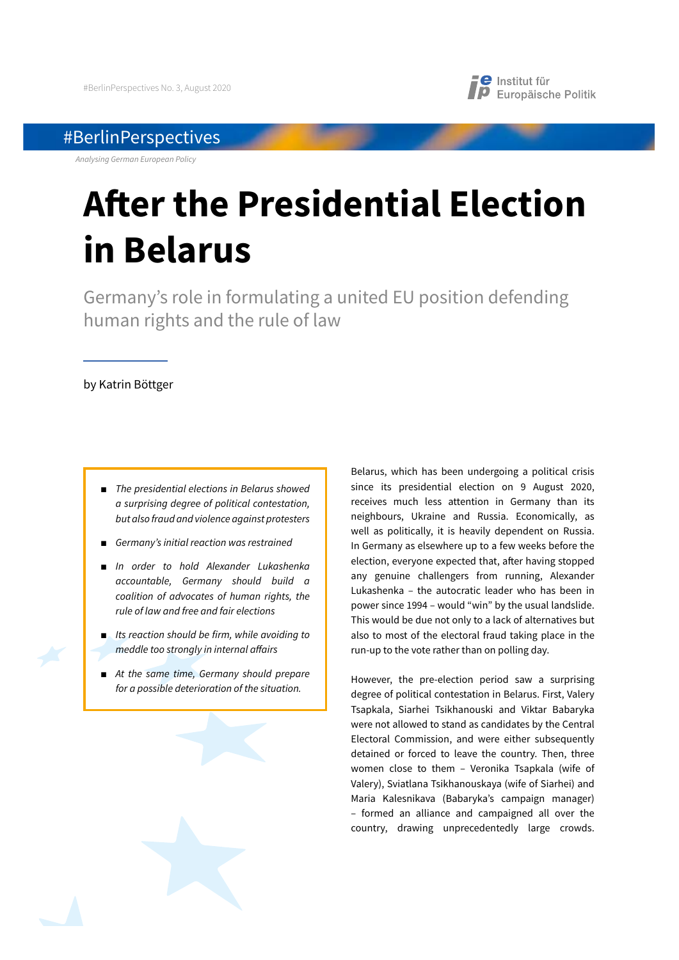## #BerlinPerspectives

*Analysing German European Policy*

# **A!er the Presidential Election in Belarus**

Germany's role in formulating a united EU position defending human rights and the rule of law

## by Katrin Böttger

- **The presidential elections in Belarus showed** *a surprising degree of political contestation, but also fraud and violence against protesters*
- *Germany's initial reaction was restrained*
- Ŷ *In order to hold Alexander Lukashenka accountable, Germany should build a coalition of advocates of human rights, the rule of law and free and fair elections*
- **Its reaction should be firm, while avoiding to** *meddle too strongly in internal a*!*airs*
- At the same time, Germany should prepare *for a possible deterioration of the situation.*

Belarus, which has been undergoing a political crisis since its presidential election on 9 August 2020, receives much less attention in Germany than its neighbours, Ukraine and Russia. Economically, as well as politically, it is heavily dependent on Russia. In Germany as elsewhere up to a few weeks before the election, everyone expected that, after having stopped any genuine challengers from running, Alexander Lukashenka – the autocratic leader who has been in power since 1994 – would "win" by the usual landslide. This would be due not only to a lack of alternatives but also to most of the electoral fraud taking place in the run-up to the vote rather than on polling day.

**e** Institut für

**P** Europäische Politik

However, the pre-election period saw a surprising degree of political contestation in Belarus. First, Valery Tsapkala, Siarhei Tsikhanouski and Viktar Babaryka were not allowed to stand as candidates by the Central Electoral Commission, and were either subsequently detained or forced to leave the country. Then, three women close to them – Veronika Tsapkala (wife of Valery), Sviatlana Tsikhanouskaya (wife of Siarhei) and Maria Kalesnikava (Babaryka's campaign manager) – formed an alliance and campaigned all over the country, drawing unprecedentedly large crowds.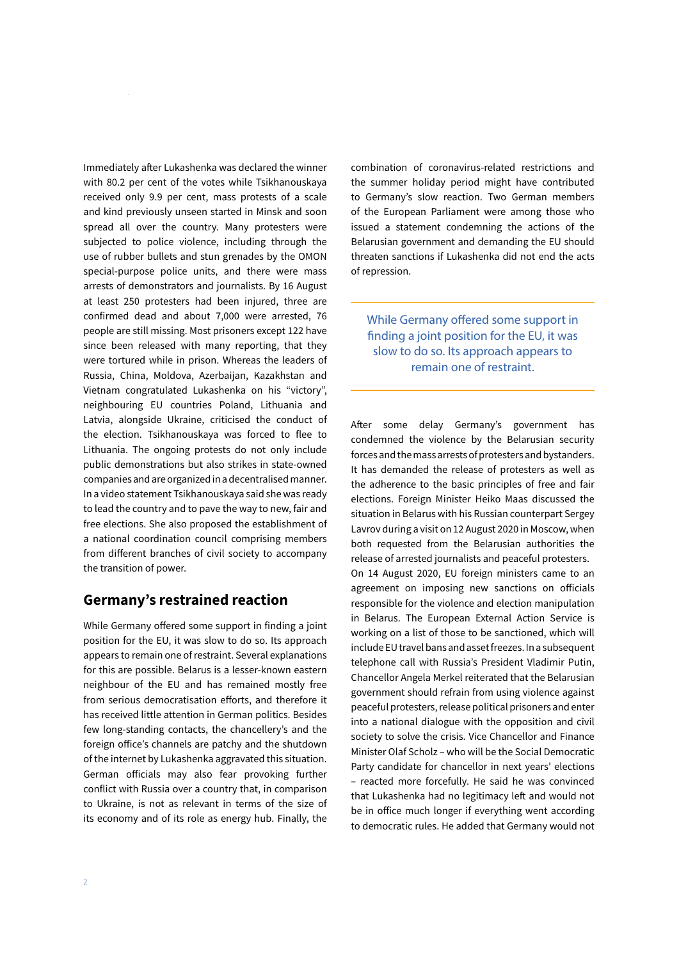Immediately after Lukashenka was declared the winner with 80.2 per cent of the votes while Tsikhanouskaya received only 9.9 per cent, mass protests of a scale and kind previously unseen started in Minsk and soon spread all over the country. Many protesters were subjected to police violence, including through the use of rubber bullets and stun grenades by the OMON special-purpose police units, and there were mass arrests of demonstrators and journalists. By 16 August at least 250 protesters had been injured, three are confirmed dead and about 7,000 were arrested, 76 people are still missing. Most prisoners except 122 have since been released with many reporting, that they were tortured while in prison. Whereas the leaders of Russia, China, Moldova, Azerbaijan, Kazakhstan and Vietnam congratulated Lukashenka on his "victory", neighbouring EU countries Poland, Lithuania and Latvia, alongside Ukraine, criticised the conduct of the election. Tsikhanouskaya was forced to flee to Lithuania. The ongoing protests do not only include public demonstrations but also strikes in state-owned companies and are organized in a decentralised manner. In a video statement Tsikhanouskaya said she was ready to lead the country and to pave the way to new, fair and free elections. She also proposed the establishment of a national coordination council comprising members from different branches of civil society to accompany the transition of power.

## **Germany's restrained reaction**

While Germany offered some support in finding a joint position for the EU, it was slow to do so. Its approach appears to remain one of restraint. Several explanations for this are possible. Belarus is a lesser-known eastern neighbour of the EU and has remained mostly free from serious democratisation efforts, and therefore it has received little attention in German politics. Besides few long-standing contacts, the chancellery's and the foreign office's channels are patchy and the shutdown of the internet by Lukashenka aggravated this situation. German officials may also fear provoking further conflict with Russia over a country that, in comparison to Ukraine, is not as relevant in terms of the size of its economy and of its role as energy hub. Finally, the

combination of coronavirus-related restrictions and the summer holiday period might have contributed to Germany's slow reaction. Two German members of the European Parliament were among those who issued a statement condemning the actions of the Belarusian government and demanding the EU should threaten sanctions if Lukashenka did not end the acts of repression.

While Germany offered some support in finding a joint position for the EU, it was slow to do so. Its approach appears to remain one of restraint.

After some delay Germany's government has condemned the violence by the Belarusian security forces and the mass arrests of protesters and bystanders. It has demanded the release of protesters as well as the adherence to the basic principles of free and fair elections. Foreign Minister Heiko Maas discussed the situation in Belarus with his Russian counterpart Sergey Lavrov during a visit on 12 August 2020 in Moscow, when both requested from the Belarusian authorities the release of arrested journalists and peaceful protesters. On 14 August 2020, EU foreign ministers came to an agreement on imposing new sanctions on officials responsible for the violence and election manipulation in Belarus. The European External Action Service is working on a list of those to be sanctioned, which will include EU travel bans and asset freezes. In a subsequent telephone call with Russia's President Vladimir Putin, Chancellor Angela Merkel reiterated that the Belarusian government should refrain from using violence against peaceful protesters, release political prisoners and enter into a national dialogue with the opposition and civil society to solve the crisis. Vice Chancellor and Finance Minister Olaf Scholz – who will be the Social Democratic Party candidate for chancellor in next years' elections – reacted more forcefully. He said he was convinced that Lukashenka had no legitimacy left and would not be in office much longer if everything went according to democratic rules. He added that Germany would not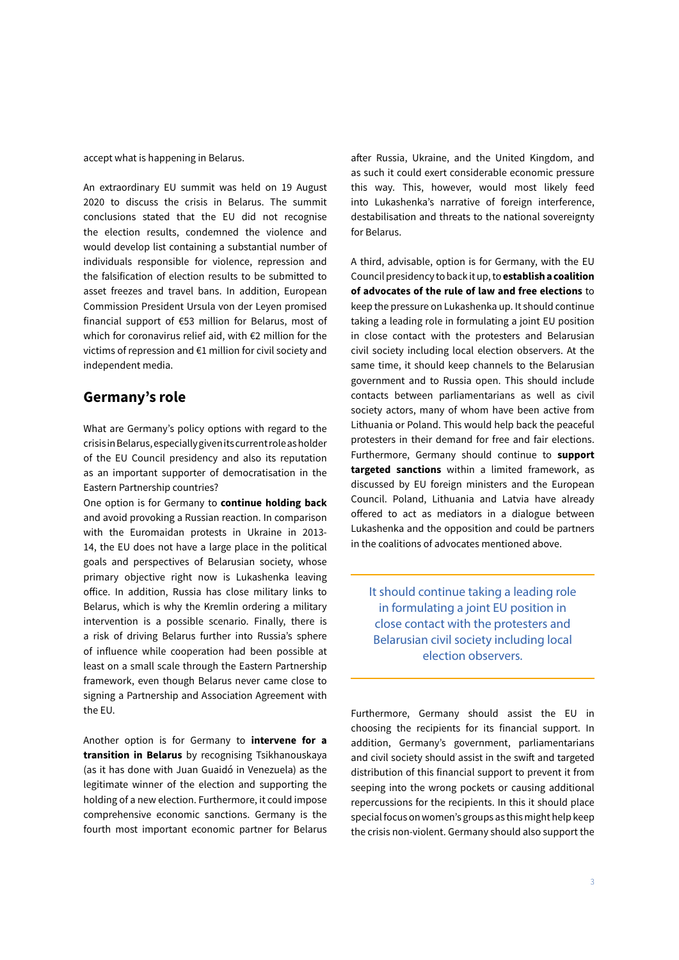accept what is happening in Belarus.

An extraordinary EU summit was held on 19 August 2020 to discuss the crisis in Belarus. The summit conclusions stated that the EU did not recognise the election results, condemned the violence and would develop list containing a substantial number of individuals responsible for violence, repression and the falsification of election results to be submitted to asset freezes and travel bans. In addition, European Commission President Ursula von der Leyen promised financial support of €53 million for Belarus, most of which for coronavirus relief aid, with €2 million for the victims of repression and €1 million for civil society and independent media.

## **Germany's role**

What are Germany's policy options with regard to the crisis in Belarus, especially given its current role as holder of the EU Council presidency and also its reputation as an important supporter of democratisation in the Eastern Partnership countries?

One option is for Germany to **continue holding back**  and avoid provoking a Russian reaction. In comparison with the Euromaidan protests in Ukraine in 2013- 14, the EU does not have a large place in the political goals and perspectives of Belarusian society, whose primary objective right now is Lukashenka leaving office. In addition, Russia has close military links to Belarus, which is why the Kremlin ordering a military intervention is a possible scenario. Finally, there is a risk of driving Belarus further into Russia's sphere of influence while cooperation had been possible at least on a small scale through the Eastern Partnership framework, even though Belarus never came close to signing a Partnership and Association Agreement with the EU.

Another option is for Germany to **intervene for a transition in Belarus** by recognising Tsikhanouskaya (as it has done with Juan Guaidó in Venezuela) as the legitimate winner of the election and supporting the holding of a new election. Furthermore, it could impose comprehensive economic sanctions. Germany is the fourth most important economic partner for Belarus after Russia, Ukraine, and the United Kingdom, and as such it could exert considerable economic pressure this way. This, however, would most likely feed into Lukashenka's narrative of foreign interference, destabilisation and threats to the national sovereignty for Belarus.

A third, advisable, option is for Germany, with the EU Council presidency to back it up, to **establish a coalition of advocates of the rule of law and free elections** to keep the pressure on Lukashenka up. It should continue taking a leading role in formulating a joint EU position in close contact with the protesters and Belarusian civil society including local election observers. At the same time, it should keep channels to the Belarusian government and to Russia open. This should include contacts between parliamentarians as well as civil society actors, many of whom have been active from Lithuania or Poland. This would help back the peaceful protesters in their demand for free and fair elections. Furthermore, Germany should continue to **support targeted sanctions** within a limited framework, as discussed by EU foreign ministers and the European Council. Poland, Lithuania and Latvia have already offered to act as mediators in a dialogue between Lukashenka and the opposition and could be partners in the coalitions of advocates mentioned above.

It should continue taking a leading role in formulating a joint EU position in close contact with the protesters and Belarusian civil society including local election observers.

Furthermore, Germany should assist the EU in choosing the recipients for its financial support. In addition, Germany's government, parliamentarians and civil society should assist in the swift and targeted distribution of this financial support to prevent it from seeping into the wrong pockets or causing additional repercussions for the recipients. In this it should place special focus on women's groups as this might help keep the crisis non-violent. Germany should also support the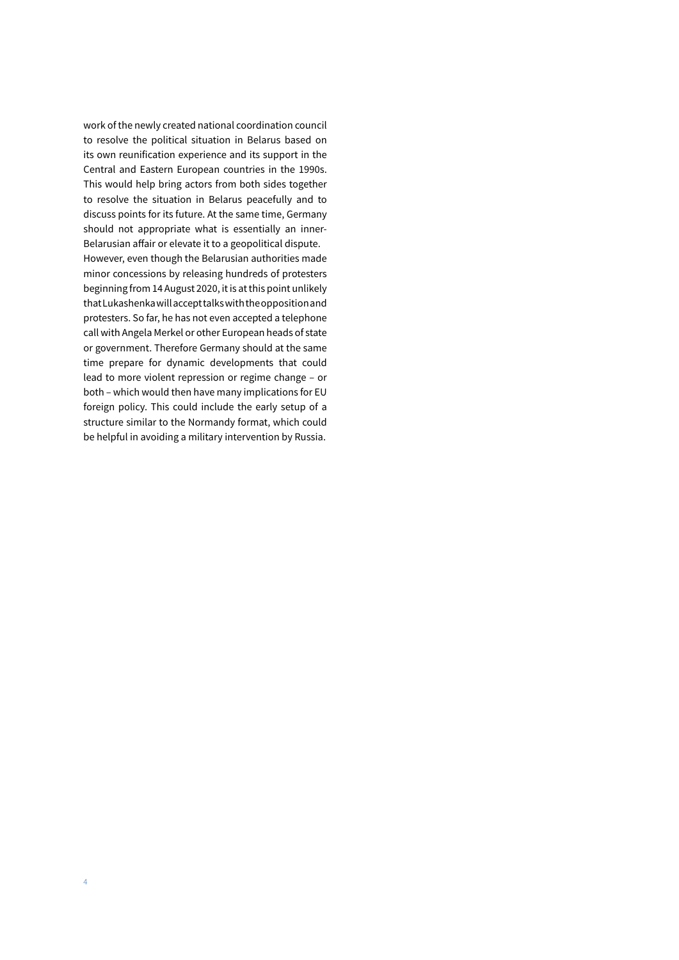work of the newly created national coordination council to resolve the political situation in Belarus based on its own reunification experience and its support in the Central and Eastern European countries in the 1990s. This would help bring actors from both sides together to resolve the situation in Belarus peacefully and to discuss points for its future. At the same time, Germany should not appropriate what is essentially an inner-Belarusian affair or elevate it to a geopolitical dispute. However, even though the Belarusian authorities made minor concessions by releasing hundreds of protesters beginning from 14 August 2020, it is at this point unlikely that Lukashenka will accept talks with the opposition and protesters. So far, he has not even accepted a telephone call with Angela Merkel or other European heads of state or government. Therefore Germany should at the same time prepare for dynamic developments that could lead to more violent repression or regime change – or both – which would then have many implications for EU foreign policy. This could include the early setup of a structure similar to the Normandy format, which could

be helpful in avoiding a military intervention by Russia.